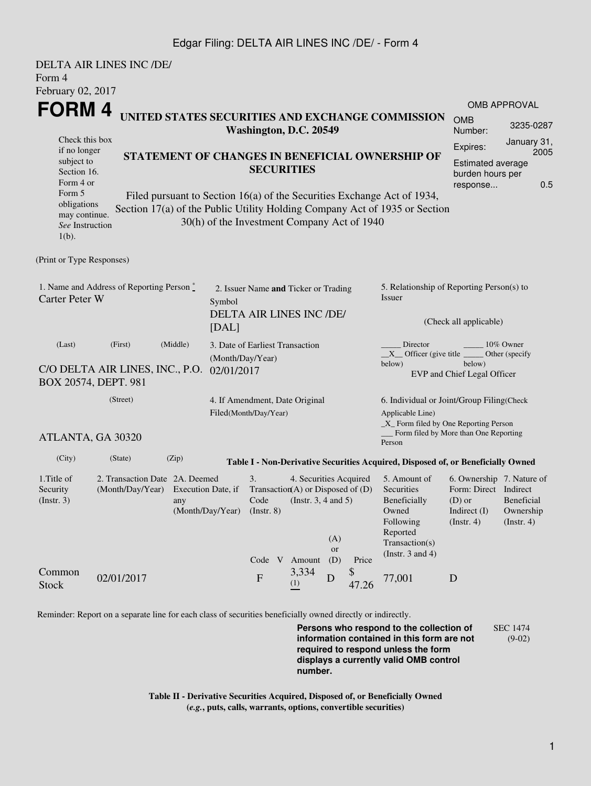## Edgar Filing: DELTA AIR LINES INC /DE/ - Form 4

| Form 4<br>February 02, 2017                                                                                                | <b>DELTA AIR LINES INC /DE/</b>                                       |       |                                                         |                                                                  |                                                                                                                                                                                                                               |                                                                                                                 |                         |             |                                                                                                                                                   |                                                                                                    |                                        |  |  |
|----------------------------------------------------------------------------------------------------------------------------|-----------------------------------------------------------------------|-------|---------------------------------------------------------|------------------------------------------------------------------|-------------------------------------------------------------------------------------------------------------------------------------------------------------------------------------------------------------------------------|-----------------------------------------------------------------------------------------------------------------|-------------------------|-------------|---------------------------------------------------------------------------------------------------------------------------------------------------|----------------------------------------------------------------------------------------------------|----------------------------------------|--|--|
| <b>FORM4</b>                                                                                                               |                                                                       |       |                                                         |                                                                  |                                                                                                                                                                                                                               |                                                                                                                 |                         |             |                                                                                                                                                   |                                                                                                    | <b>OMB APPROVAL</b>                    |  |  |
| Check this box<br>if no longer<br>subject to<br>Section 16.<br>Form 4 or<br>Form 5                                         |                                                                       |       |                                                         |                                                                  | UNITED STATES SECURITIES AND EXCHANGE COMMISSION<br>Washington, D.C. 20549<br>STATEMENT OF CHANGES IN BENEFICIAL OWNERSHIP OF<br><b>SECURITIES</b><br>Filed pursuant to Section 16(a) of the Securities Exchange Act of 1934, |                                                                                                                 |                         |             |                                                                                                                                                   | <b>OMB</b><br>Number:                                                                              | 3235-0287                              |  |  |
|                                                                                                                            |                                                                       |       |                                                         |                                                                  |                                                                                                                                                                                                                               |                                                                                                                 |                         |             |                                                                                                                                                   | January 31,<br>Expires:<br>2005<br><b>Estimated average</b><br>burden hours per<br>0.5<br>response |                                        |  |  |
| obligations<br>may continue.<br>See Instruction<br>$1(b)$ .                                                                |                                                                       |       | 30(h) of the Investment Company Act of 1940             |                                                                  |                                                                                                                                                                                                                               |                                                                                                                 |                         |             | Section 17(a) of the Public Utility Holding Company Act of 1935 or Section                                                                        |                                                                                                    |                                        |  |  |
| (Print or Type Responses)                                                                                                  |                                                                       |       |                                                         |                                                                  |                                                                                                                                                                                                                               |                                                                                                                 |                         |             |                                                                                                                                                   |                                                                                                    |                                        |  |  |
| 1. Name and Address of Reporting Person $\degree$<br><b>Carter Peter W</b><br>Symbol<br>[DAL]                              |                                                                       |       |                                                         | 2. Issuer Name and Ticker or Trading<br>DELTA AIR LINES INC /DE/ |                                                                                                                                                                                                                               |                                                                                                                 |                         |             | 5. Relationship of Reporting Person(s) to<br>Issuer<br>(Check all applicable)                                                                     |                                                                                                    |                                        |  |  |
| (Middle)<br>(Last)<br>(First)<br>(Month/Day/Year)<br>C/O DELTA AIR LINES, INC., P.O.<br>02/01/2017<br>BOX 20574, DEPT. 981 |                                                                       |       |                                                         | 3. Date of Earliest Transaction                                  |                                                                                                                                                                                                                               |                                                                                                                 |                         |             | Director<br>$10\%$ Owner<br>$X$ Officer (give title $\overline{\phantom{a}}$<br>Other (specify<br>below)<br>below)<br>EVP and Chief Legal Officer |                                                                                                    |                                        |  |  |
|                                                                                                                            | (Street)                                                              |       | 4. If Amendment, Date Original<br>Filed(Month/Day/Year) |                                                                  |                                                                                                                                                                                                                               |                                                                                                                 |                         |             | 6. Individual or Joint/Group Filing(Check<br>Applicable Line)<br>$\_X$ Form filed by One Reporting Person                                         |                                                                                                    |                                        |  |  |
| ATLANTA, GA 30320                                                                                                          |                                                                       |       |                                                         |                                                                  |                                                                                                                                                                                                                               |                                                                                                                 |                         |             | Form filed by More than One Reporting<br>Person                                                                                                   |                                                                                                    |                                        |  |  |
| (City)                                                                                                                     | (State)                                                               | (Zip) |                                                         |                                                                  |                                                                                                                                                                                                                               |                                                                                                                 |                         |             | Table I - Non-Derivative Securities Acquired, Disposed of, or Beneficially Owned                                                                  |                                                                                                    |                                        |  |  |
| 1. Title of<br>Security<br>(Insert. 3)                                                                                     | 2. Transaction Date 2A. Deemed<br>(Month/Day/Year) Execution Date, if | any   | (Month/Day/Year)                                        | 3.<br>$($ Instr. $8)$                                            |                                                                                                                                                                                                                               | 4. Securities Acquired<br>Transaction(A) or Disposed of $(D)$<br>Code (Instr. $3, 4$ and $5$ )<br>Code V Amount | (A)<br><b>or</b><br>(D) | Price       | 5. Amount of<br>Securities<br>Beneficially<br>Owned<br>Following<br>Reported<br>Transaction(s)<br>(Instr. $3$ and $4$ )                           | 6. Ownership 7. Nature of<br>Form: Direct Indirect<br>$(D)$ or<br>Indirect $(I)$<br>(Insert. 4)    | Beneficial<br>Ownership<br>(Insert. 4) |  |  |
| Common<br><b>Stock</b>                                                                                                     | 02/01/2017                                                            |       |                                                         | $\mathbf{F}$                                                     |                                                                                                                                                                                                                               | 3,334<br>(1)                                                                                                    | D                       | \$<br>47.26 | 77,001                                                                                                                                            | D                                                                                                  |                                        |  |  |

Reminder: Report on a separate line for each class of securities beneficially owned directly or indirectly.

**Persons who respond to the collection of information contained in this form are not required to respond unless the form displays a currently valid OMB control number.** SEC 1474 (9-02)

**Table II - Derivative Securities Acquired, Disposed of, or Beneficially Owned (***e.g.***, puts, calls, warrants, options, convertible securities)**